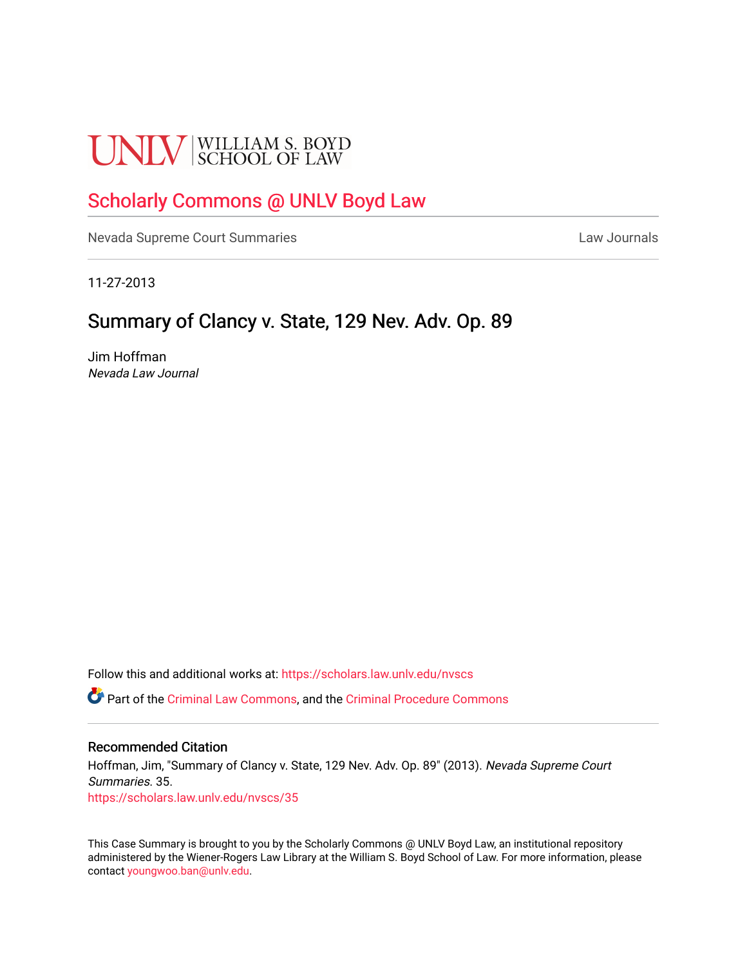# **UNLV** SCHOOL OF LAW

## [Scholarly Commons @ UNLV Boyd Law](https://scholars.law.unlv.edu/)

[Nevada Supreme Court Summaries](https://scholars.law.unlv.edu/nvscs) **Law Journals** Law Journals

11-27-2013

### Summary of Clancy v. State, 129 Nev. Adv. Op. 89

Jim Hoffman Nevada Law Journal

Follow this and additional works at: [https://scholars.law.unlv.edu/nvscs](https://scholars.law.unlv.edu/nvscs?utm_source=scholars.law.unlv.edu%2Fnvscs%2F35&utm_medium=PDF&utm_campaign=PDFCoverPages)

Part of the [Criminal Law Commons,](http://network.bepress.com/hgg/discipline/912?utm_source=scholars.law.unlv.edu%2Fnvscs%2F35&utm_medium=PDF&utm_campaign=PDFCoverPages) and the [Criminal Procedure Commons](http://network.bepress.com/hgg/discipline/1073?utm_source=scholars.law.unlv.edu%2Fnvscs%2F35&utm_medium=PDF&utm_campaign=PDFCoverPages)

#### Recommended Citation

Hoffman, Jim, "Summary of Clancy v. State, 129 Nev. Adv. Op. 89" (2013). Nevada Supreme Court Summaries. 35. [https://scholars.law.unlv.edu/nvscs/35](https://scholars.law.unlv.edu/nvscs/35?utm_source=scholars.law.unlv.edu%2Fnvscs%2F35&utm_medium=PDF&utm_campaign=PDFCoverPages) 

This Case Summary is brought to you by the Scholarly Commons @ UNLV Boyd Law, an institutional repository administered by the Wiener-Rogers Law Library at the William S. Boyd School of Law. For more information, please contact [youngwoo.ban@unlv.edu](mailto:youngwoo.ban@unlv.edu).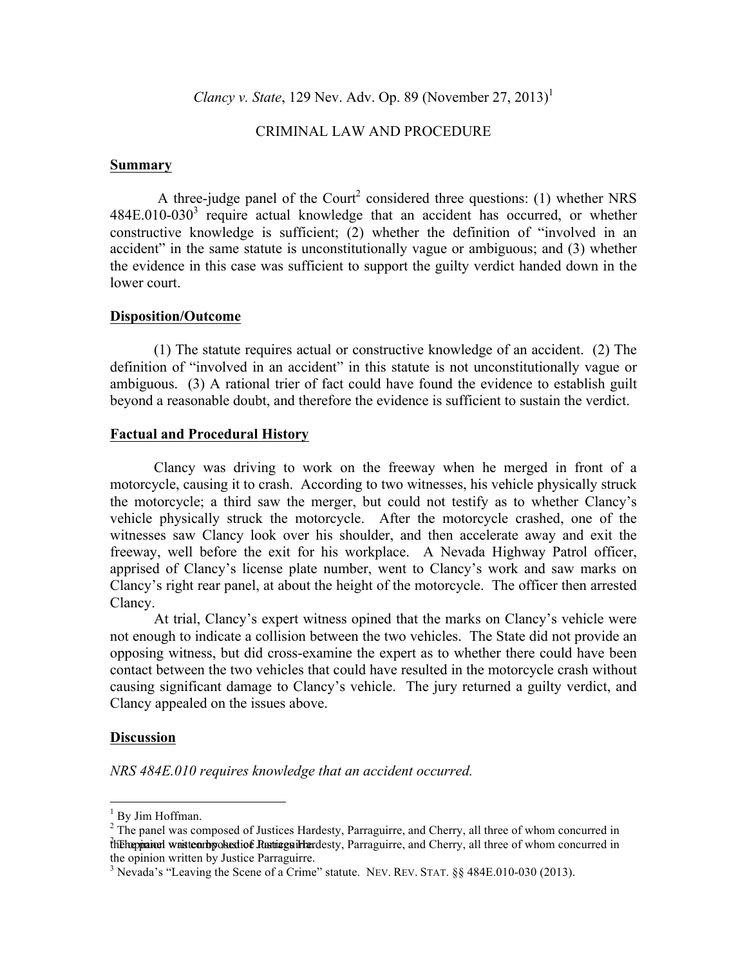*Clancy v. State*, 129 Nev. Adv. Op. 89 (November 27, 2013)<sup>1</sup>

#### CRIMINAL LAW AND PROCEDURE

#### **Summary**

A three-judge panel of the Court<sup>2</sup> considered three questions: (1) whether NRS  $484E.010-030<sup>3</sup>$  require actual knowledge that an accident has occurred, or whether constructive knowledge is sufficient; (2) whether the definition of "involved in an accident" in the same statute is unconstitutionally vague or ambiguous; and (3) whether the evidence in this case was sufficient to support the guilty verdict handed down in the lower court.

#### **Disposition/Outcome**

(1) The statute requires actual or constructive knowledge of an accident. (2) The definition of "involved in an accident" in this statute is not unconstitutionally vague or ambiguous. (3) A rational trier of fact could have found the evidence to establish guilt beyond a reasonable doubt, and therefore the evidence is sufficient to sustain the verdict.

#### **Factual and Procedural History**

Clancy was driving to work on the freeway when he merged in front of a motorcycle, causing it to crash. According to two witnesses, his vehicle physically struck the motorcycle; a third saw the merger, but could not testify as to whether Clancy's vehicle physically struck the motorcycle. After the motorcycle crashed, one of the witnesses saw Clancy look over his shoulder, and then accelerate away and exit the freeway, well before the exit for his workplace. A Nevada Highway Patrol officer, apprised of Clancy's license plate number, went to Clancy's work and saw marks on Clancy's right rear panel, at about the height of the motorcycle. The officer then arrested Clancy.

At trial, Clancy's expert witness opined that the marks on Clancy's vehicle were not enough to indicate a collision between the two vehicles. The State did not provide an opposing witness, but did cross-examine the expert as to whether there could have been contact between the two vehicles that could have resulted in the motorcycle crash without causing significant damage to Clancy's vehicle. The jury returned a guilty verdict, and Clancy appealed on the issues above.

#### **Discussion**

*NRS 484E.010 requires knowledge that an accident occurred.*

 $1$  By Jim Hoffman.<br><sup>2</sup> The panel was composed of Justices Hardesty, Parraguirre, and Cherry, all three of whom concurred in the *independent was textion by objection* Represent Fundersty. Parraguirre, and Cherry, all three of whom concurred in the opinion written by Justice Parraguirre.

<sup>&</sup>lt;sup>3</sup> Nevada's "Leaving the Scene of a Crime" statute. NEV. REV. STAT. §§ 484E.010-030 (2013).